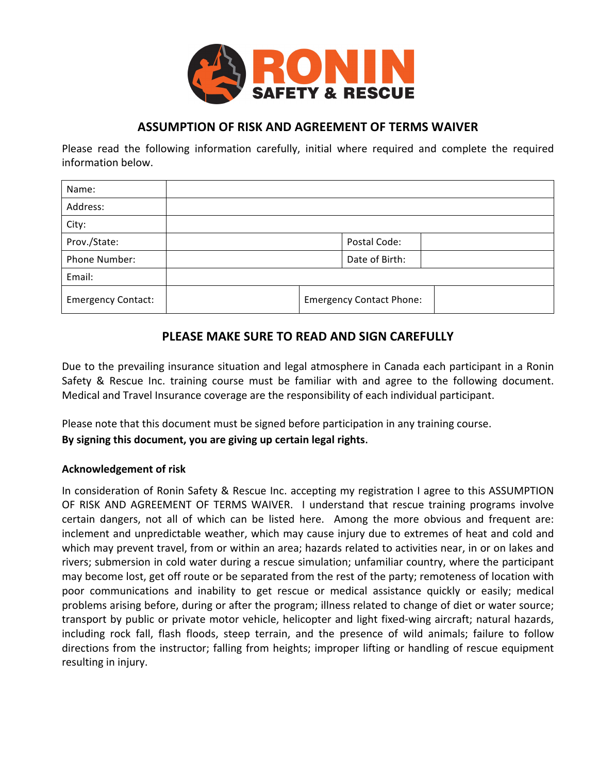

## **ASSUMPTION OF RISK AND AGREEMENT OF TERMS WAIVER**

Please read the following information carefully, initial where required and complete the required information below.

| Name:                     |  |  |                                 |  |
|---------------------------|--|--|---------------------------------|--|
| Address:                  |  |  |                                 |  |
| City:                     |  |  |                                 |  |
| Prov./State:              |  |  | Postal Code:                    |  |
| Phone Number:             |  |  | Date of Birth:                  |  |
| Email:                    |  |  |                                 |  |
| <b>Emergency Contact:</b> |  |  | <b>Emergency Contact Phone:</b> |  |

## **PLEASE MAKE SURE TO READ AND SIGN CAREFULLY**

Due to the prevailing insurance situation and legal atmosphere in Canada each participant in a Ronin Safety & Rescue Inc. training course must be familiar with and agree to the following document. Medical and Travel Insurance coverage are the responsibility of each individual participant.

Please note that this document must be signed before participation in any training course.

By signing this document, you are giving up certain legal rights.

## **Acknowledgement of risk**

In consideration of Ronin Safety & Rescue Inc. accepting my registration I agree to this ASSUMPTION OF RISK AND AGREEMENT OF TERMS WAIVER. I understand that rescue training programs involve certain dangers, not all of which can be listed here. Among the more obvious and frequent are: inclement and unpredictable weather, which may cause injury due to extremes of heat and cold and which may prevent travel, from or within an area; hazards related to activities near, in or on lakes and rivers; submersion in cold water during a rescue simulation; unfamiliar country, where the participant may become lost, get off route or be separated from the rest of the party; remoteness of location with poor communications and inability to get rescue or medical assistance quickly or easily; medical problems arising before, during or after the program; illness related to change of diet or water source; transport by public or private motor vehicle, helicopter and light fixed-wing aircraft; natural hazards, including rock fall, flash floods, steep terrain, and the presence of wild animals; failure to follow directions from the instructor; falling from heights; improper lifting or handling of rescue equipment resulting in injury.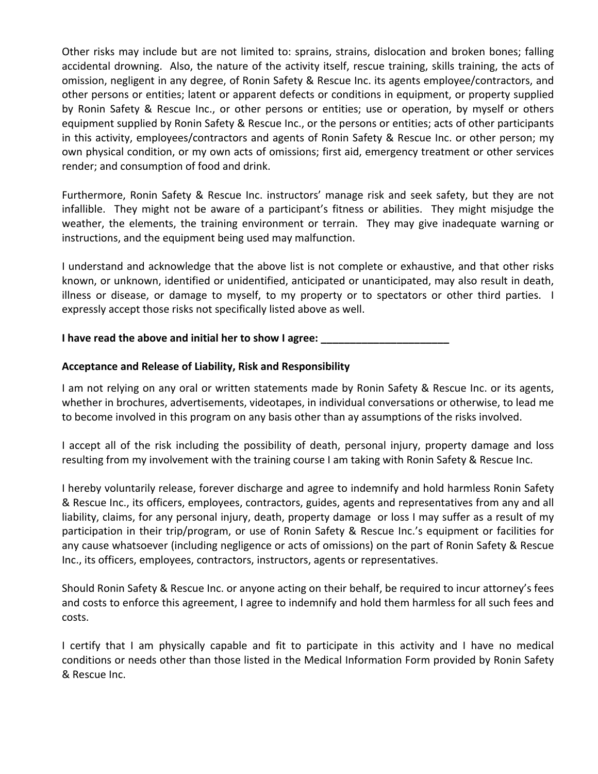Other risks may include but are not limited to: sprains, strains, dislocation and broken bones; falling accidental drowning. Also, the nature of the activity itself, rescue training, skills training, the acts of omission, negligent in any degree, of Ronin Safety & Rescue Inc. its agents employee/contractors, and other persons or entities; latent or apparent defects or conditions in equipment, or property supplied by Ronin Safety & Rescue Inc., or other persons or entities; use or operation, by myself or others equipment supplied by Ronin Safety & Rescue Inc., or the persons or entities; acts of other participants in this activity, employees/contractors and agents of Ronin Safety & Rescue Inc. or other person; my own physical condition, or my own acts of omissions; first aid, emergency treatment or other services render; and consumption of food and drink.

Furthermore, Ronin Safety & Rescue Inc. instructors' manage risk and seek safety, but they are not infallible. They might not be aware of a participant's fitness or abilities. They might misjudge the weather, the elements, the training environment or terrain. They may give inadequate warning or instructions, and the equipment being used may malfunction.

I understand and acknowledge that the above list is not complete or exhaustive, and that other risks known, or unknown, identified or unidentified, anticipated or unanticipated, may also result in death, illness or disease, or damage to myself, to my property or to spectators or other third parties. I expressly accept those risks not specifically listed above as well.

**I** have read the above and initial her to show I agree:

## **Acceptance and Release of Liability, Risk and Responsibility**

I am not relying on any oral or written statements made by Ronin Safety & Rescue Inc. or its agents, whether in brochures, advertisements, videotapes, in individual conversations or otherwise, to lead me to become involved in this program on any basis other than ay assumptions of the risks involved.

I accept all of the risk including the possibility of death, personal injury, property damage and loss resulting from my involvement with the training course I am taking with Ronin Safety & Rescue Inc.

I hereby voluntarily release, forever discharge and agree to indemnify and hold harmless Ronin Safety & Rescue Inc., its officers, employees, contractors, guides, agents and representatives from any and all liability, claims, for any personal injury, death, property damage or loss I may suffer as a result of my participation in their trip/program, or use of Ronin Safety & Rescue Inc.'s equipment or facilities for any cause whatsoever (including negligence or acts of omissions) on the part of Ronin Safety & Rescue Inc., its officers, employees, contractors, instructors, agents or representatives.

Should Ronin Safety & Rescue Inc. or anyone acting on their behalf, be required to incur attorney's fees and costs to enforce this agreement, I agree to indemnify and hold them harmless for all such fees and costs.

I certify that I am physically capable and fit to participate in this activity and I have no medical conditions or needs other than those listed in the Medical Information Form provided by Ronin Safety & Rescue Inc.